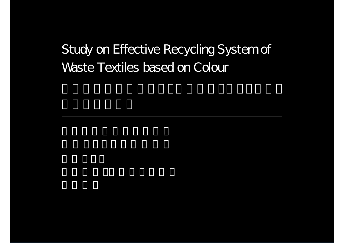# Study on Effective Recycling System of Waste Textiles based on Colour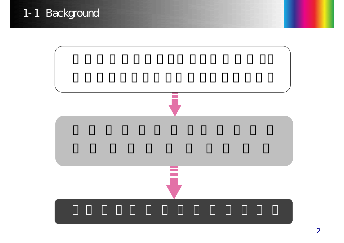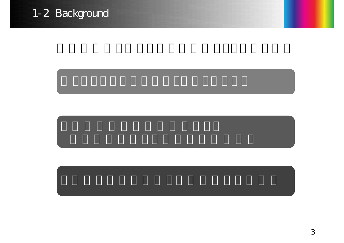# 1-2 Background

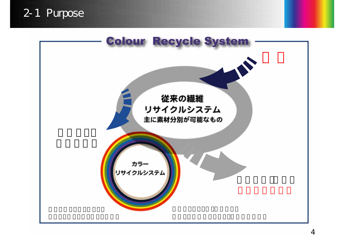### 2-1 Purpose

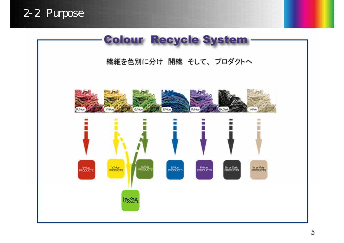



繊維を色別に分け 開繊 そして、プロダクトへ





New Color<br>PRODUCTS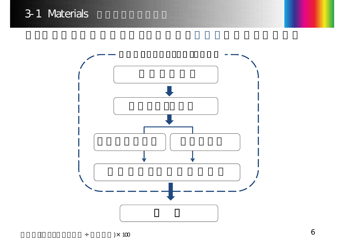

6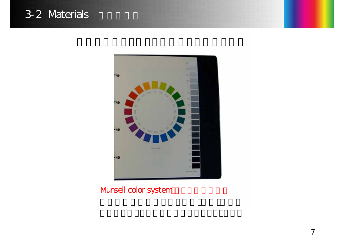

Munsell color system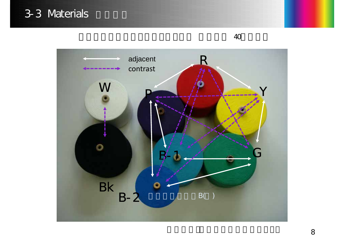# 3-3 Materials



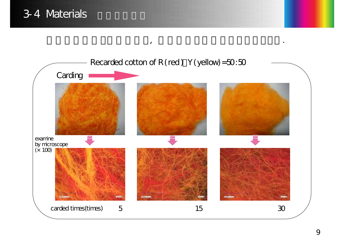

, the contract of the contract of the contract of the contract of the contract of the contract of the contract of the contract of the contract of the contract of the contract of the contract of the contract of the contrac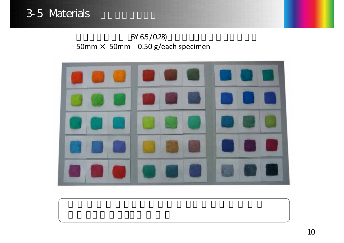# 3-5 Materials and the Sense

6Y 6.5/0.28) 50mm × 50mm 0.50 g/each specimen



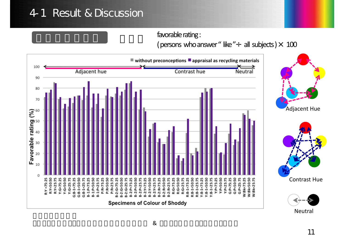### 4-1 Result & Discussion

#### favorable rating: (persons who answer" like" $\div$  all subjects)  $\times$  100

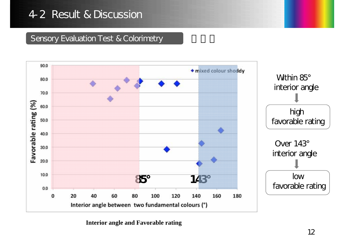#### Sensory Evaluation Test & Colorimetry



**Interior angle and Favorable rating**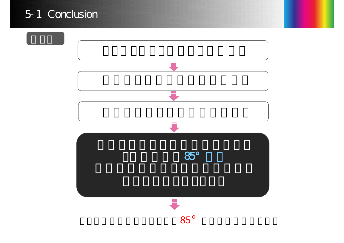

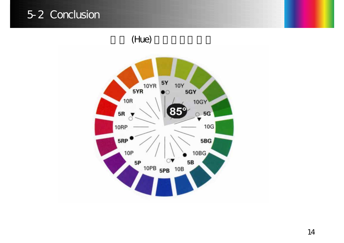### 5-2 Conclusion

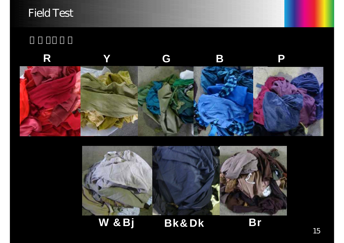### Field Test





W &Bj Bk&Dk Br